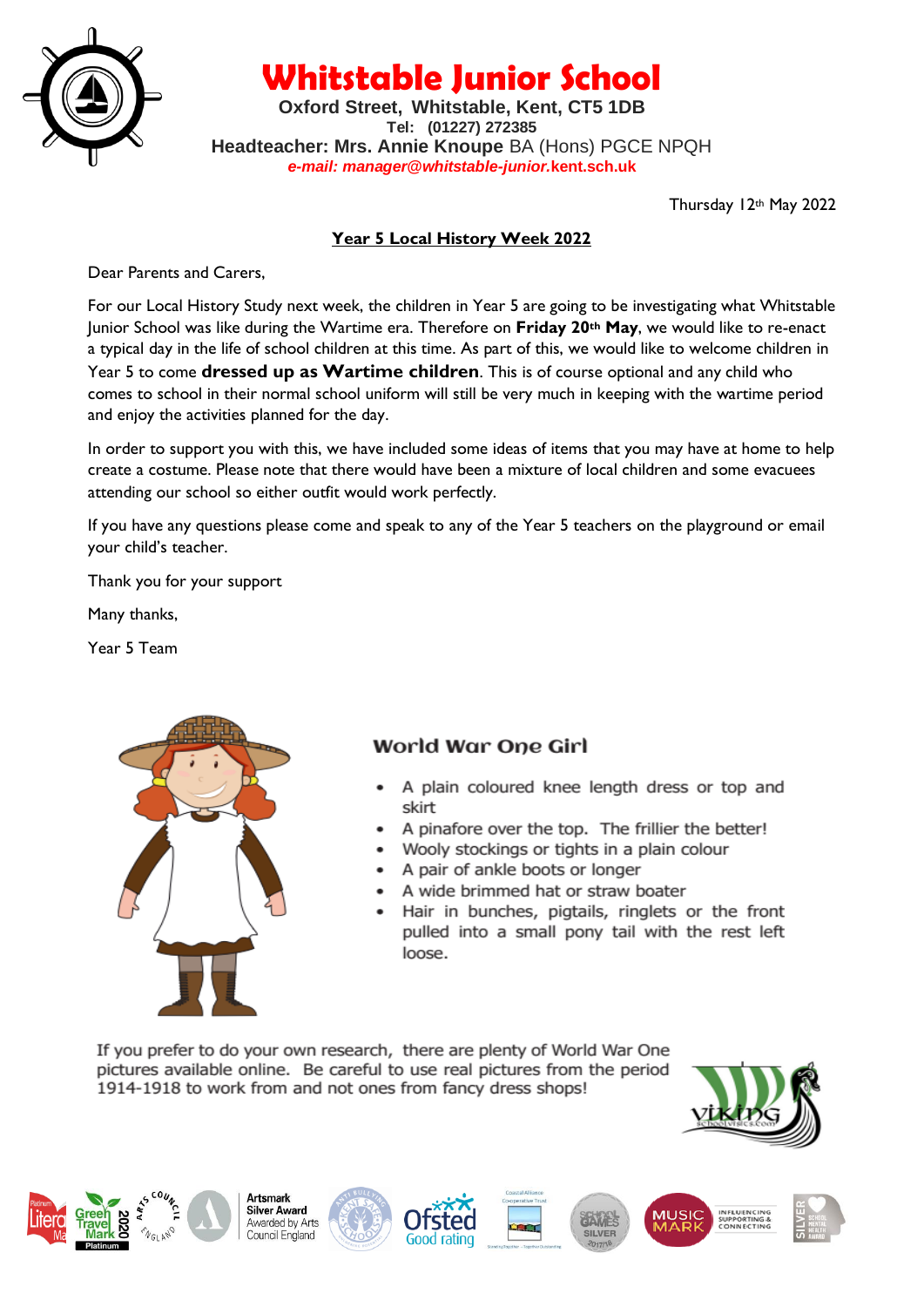

**Whitstable Junior School**

**Oxford Street, Whitstable, Kent, CT5 1DB Tel: (01227) 272385 Headteacher: Mrs. Annie Knoupe** BA (Hons) PGCE NPQH *e-mail: manager@whitstable-junior.***kent.sch.uk**

Thursday 12th May 2022

### **Year 5 Local History Week 2022**

Dear Parents and Carers,

For our Local History Study next week, the children in Year 5 are going to be investigating what Whitstable Junior School was like during the Wartime era. Therefore on **Friday 20th May**, we would like to re-enact a typical day in the life of school children at this time. As part of this, we would like to welcome children in Year 5 to come **dressed up as Wartime children**. This is of course optional and any child who comes to school in their normal school uniform will still be very much in keeping with the wartime period and enjoy the activities planned for the day.

In order to support you with this, we have included some ideas of items that you may have at home to help create a costume. Please note that there would have been a mixture of local children and some evacuees attending our school so either outfit would work perfectly.

If you have any questions please come and speak to any of the Year 5 teachers on the playground or email your child's teacher.

Thank you for your support

Many thanks,

Year 5 Team

Ì



# World War One Girl

- A plain coloured knee length dress or top and skirt
- A pinafore over the top. The frillier the better!
- Wooly stockings or tights in a plain colour
- A pair of ankle boots or longer
- A wide brimmed hat or straw boater
- Hair in bunches, pigtails, ringlets or the front pulled into a small pony tail with the rest left loose.

If you prefer to do your own research, there are plenty of World War One pictures available online. Be careful to use real pictures from the period 1914-1918 to work from and not ones from fancy dress shops!